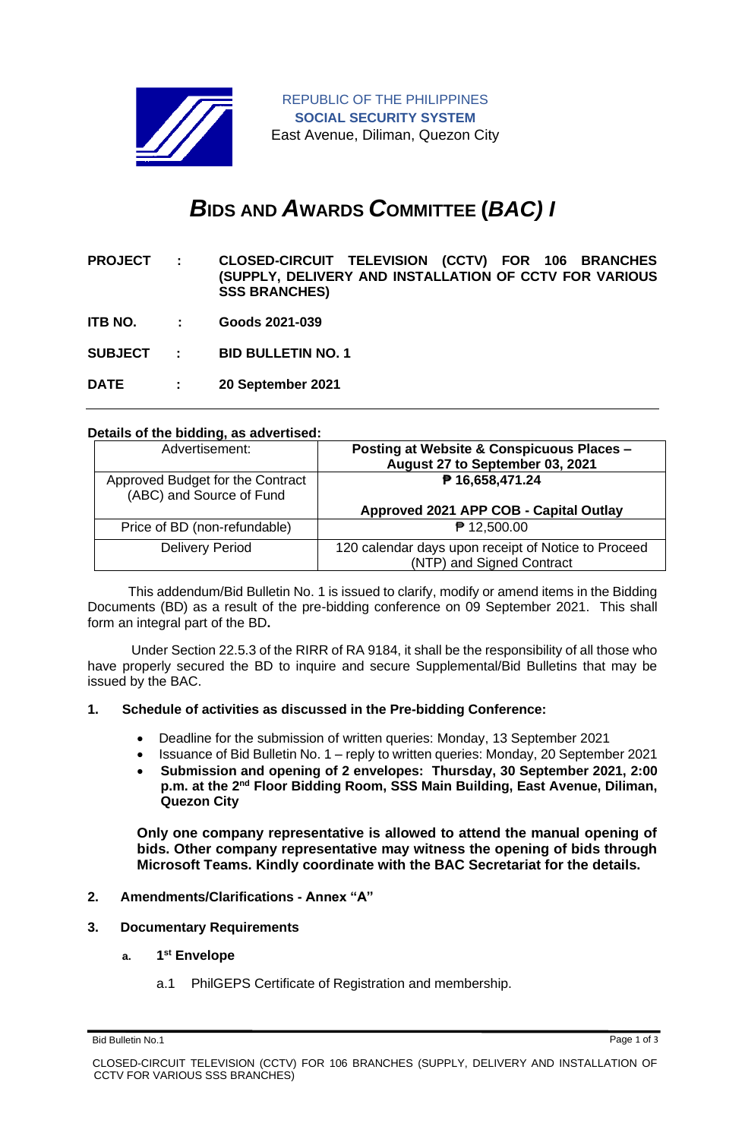

# *B***IDS AND** *A***WARDS** *C***OMMITTEE (***BAC) I*

**PROJECT : CLOSED-CIRCUIT TELEVISION (CCTV) FOR 106 BRANCHES (SUPPLY, DELIVERY AND INSTALLATION OF CCTV FOR VARIOUS SSS BRANCHES)**

**ITB NO. : Goods 2021-039**

**SUBJECT : BID BULLETIN NO. 1**

**DATE : 20 September 2021**

### **Details of the bidding, as advertised:**

| Advertisement:                                               | Posting at Website & Conspicuous Places -<br>August 27 to September 03, 2021     |
|--------------------------------------------------------------|----------------------------------------------------------------------------------|
| Approved Budget for the Contract<br>(ABC) and Source of Fund | ₱ 16,658,471.24                                                                  |
|                                                              | Approved 2021 APP COB - Capital Outlay                                           |
| Price of BD (non-refundable)                                 | ₱ 12,500.00                                                                      |
| <b>Delivery Period</b>                                       | 120 calendar days upon receipt of Notice to Proceed<br>(NTP) and Signed Contract |

 This addendum/Bid Bulletin No. 1 is issued to clarify, modify or amend items in the Bidding Documents (BD) as a result of the pre-bidding conference on 09 September 2021. This shall form an integral part of the BD**.**

Under Section 22.5.3 of the RIRR of RA 9184, it shall be the responsibility of all those who have properly secured the BD to inquire and secure Supplemental/Bid Bulletins that may be issued by the BAC.

### **1. Schedule of activities as discussed in the Pre-bidding Conference:**

- Deadline for the submission of written queries: Monday, 13 September 2021
- Issuance of Bid Bulletin No. 1 reply to written queries: Monday, 20 September 2021
- **Submission and opening of 2 envelopes: Thursday, 30 September 2021, 2:00 p.m. at the 2nd Floor Bidding Room, SSS Main Building, East Avenue, Diliman, Quezon City**

**Only one company representative is allowed to attend the manual opening of bids. Other company representative may witness the opening of bids through Microsoft Teams. Kindly coordinate with the BAC Secretariat for the details.**

# **2. Amendments/Clarifications - Annex "A"**

#### **3. Documentary Requirements**

#### **a. 1 st Envelope**

a.1 PhilGEPS Certificate of Registration and membership.

Bid Bulletin No.1 Page 1 of 3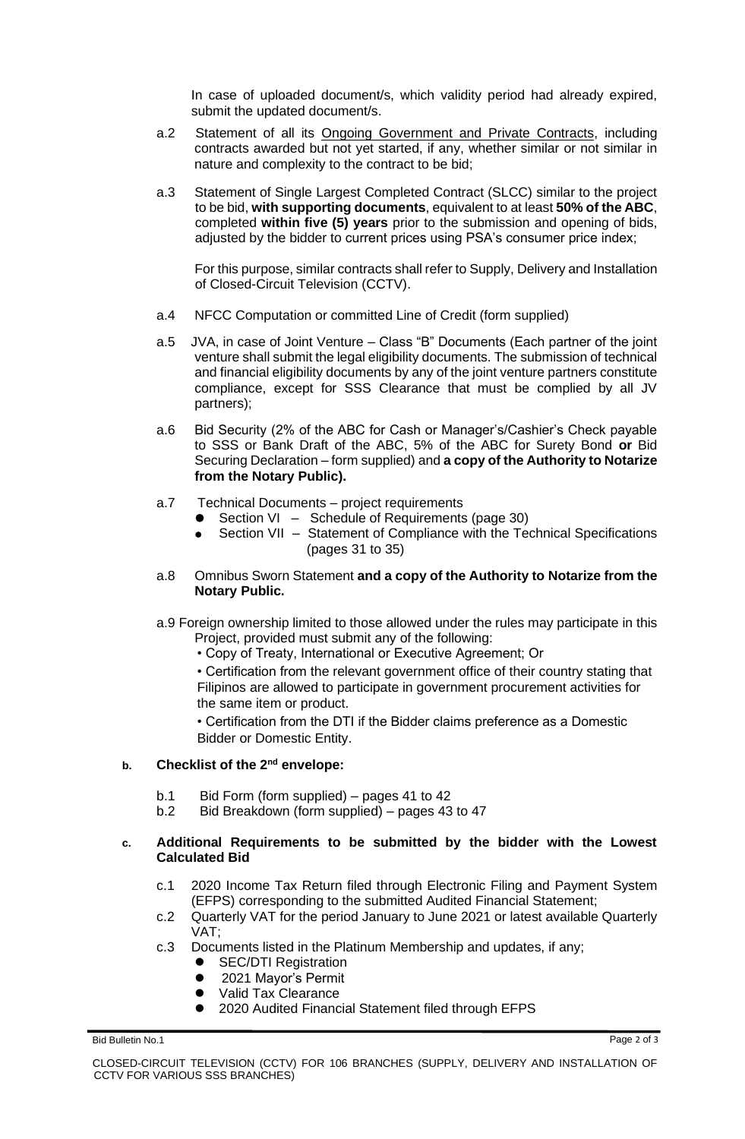In case of uploaded document/s, which validity period had already expired, submit the updated document/s.

- a.2 Statement of all its Ongoing Government and Private Contracts, including contracts awarded but not yet started, if any, whether similar or not similar in nature and complexity to the contract to be bid;
- a.3 Statement of Single Largest Completed Contract (SLCC) similar to the project to be bid, **with supporting documents**, equivalent to at least **50% of the ABC**, completed **within five (5) years** prior to the submission and opening of bids, adjusted by the bidder to current prices using PSA's consumer price index;

For this purpose, similar contracts shall refer to Supply, Delivery and Installation of Closed-Circuit Television (CCTV).

- a.4 NFCC Computation or committed Line of Credit (form supplied)
- a.5 JVA, in case of Joint Venture Class "B" Documents (Each partner of the joint venture shall submit the legal eligibility documents. The submission of technical and financial eligibility documents by any of the joint venture partners constitute compliance, except for SSS Clearance that must be complied by all JV partners);
- a.6 Bid Security (2% of the ABC for Cash or Manager's/Cashier's Check payable to SSS or Bank Draft of the ABC, 5% of the ABC for Surety Bond **or** Bid Securing Declaration – form supplied) and **a copy of the Authority to Notarize from the Notary Public).**
- a.7 Technical Documents project requirements
	- Section VI Schedule of Requirements (page 30)
	- Section VII Statement of Compliance with the Technical Specifications (pages 31 to 35)
- a.8 Omnibus Sworn Statement **and a copy of the Authority to Notarize from the Notary Public.**
- a.9 Foreign ownership limited to those allowed under the rules may participate in this Project, provided must submit any of the following:
	- Copy of Treaty, International or Executive Agreement; Or

• Certification from the relevant government office of their country stating that Filipinos are allowed to participate in government procurement activities for the same item or product.

• Certification from the DTI if the Bidder claims preference as a Domestic Bidder or Domestic Entity.

## **b. Checklist of the 2nd envelope:**

- b.1 Bid Form (form supplied) pages 41 to 42
- b.2 Bid Breakdown (form supplied) pages 43 to 47

#### **c. Additional Requirements to be submitted by the bidder with the Lowest Calculated Bid**

- c.1 2020 Income Tax Return filed through Electronic Filing and Payment System (EFPS) corresponding to the submitted Audited Financial Statement;
- c.2 Quarterly VAT for the period January to June 2021 or latest available Quarterly VAT;
- c.3 Documents listed in the Platinum Membership and updates, if any;
	- **SEC/DTI Registration**
	- 2021 Mayor's Permit
	- ⚫ Valid Tax Clearance
	- ⚫ 2020 Audited Financial Statement filed through EFPS

Bid Bulletin No.1 Page 2 of 3